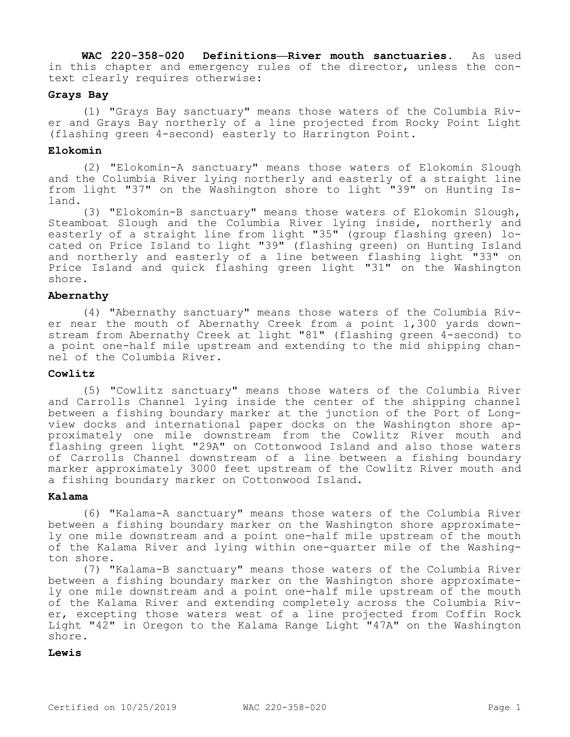**WAC 220-358-020 Definitions—River mouth sanctuaries.** As used in this chapter and emergency rules of the director, unless the context clearly requires otherwise:

## **Grays Bay**

(1) "Grays Bay sanctuary" means those waters of the Columbia River and Grays Bay northerly of a line projected from Rocky Point Light (flashing green 4-second) easterly to Harrington Point.

## **Elokomin**

(2) "Elokomin-A sanctuary" means those waters of Elokomin Slough and the Columbia River lying northerly and easterly of a straight line from light "37" on the Washington shore to light "39" on Hunting Island.

(3) "Elokomin-B sanctuary" means those waters of Elokomin Slough, Steamboat Slough and the Columbia River lying inside, northerly and easterly of a straight line from light "35" (group flashing green) located on Price Island to light "39" (flashing green) on Hunting Island and northerly and easterly of a line between flashing light "33" on Price Island and quick flashing green light "31" on the Washington shore.

## **Abernathy**

(4) "Abernathy sanctuary" means those waters of the Columbia River near the mouth of Abernathy Creek from a point 1,300 yards downstream from Abernathy Creek at light "81" (flashing green 4-second) to a point one-half mile upstream and extending to the mid shipping channel of the Columbia River.

## **Cowlitz**

(5) "Cowlitz sanctuary" means those waters of the Columbia River and Carrolls Channel lying inside the center of the shipping channel between a fishing boundary marker at the junction of the Port of Longview docks and international paper docks on the Washington shore approximately one mile downstream from the Cowlitz River mouth and flashing green light "29A" on Cottonwood Island and also those waters of Carrolls Channel downstream of a line between a fishing boundary marker approximately 3000 feet upstream of the Cowlitz River mouth and a fishing boundary marker on Cottonwood Island.

# **Kalama**

(6) "Kalama-A sanctuary" means those waters of the Columbia River between a fishing boundary marker on the Washington shore approximately one mile downstream and a point one-half mile upstream of the mouth of the Kalama River and lying within one-quarter mile of the Washington shore.

(7) "Kalama-B sanctuary" means those waters of the Columbia River between a fishing boundary marker on the Washington shore approximately one mile downstream and a point one-half mile upstream of the mouth of the Kalama River and extending completely across the Columbia River, excepting those waters west of a line projected from Coffin Rock Light "42" in Oregon to the Kalama Range Light "47A" on the Washington shore.

#### **Lewis**